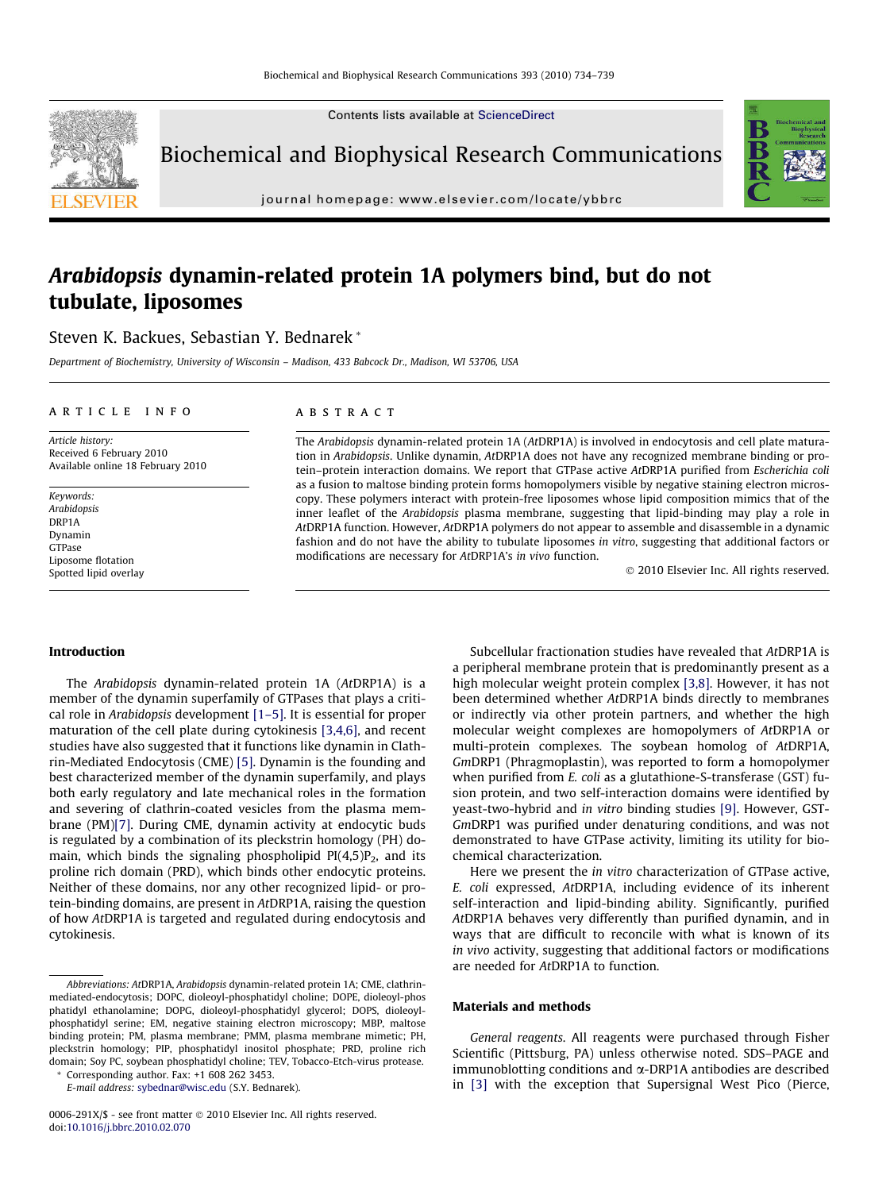Contents lists available at [ScienceDirect](http://www.sciencedirect.com/science/journal/0006291X)



Biochemical and Biophysical Research Communications

journal homepage: [www.elsevier.com/locate/ybbrc](http://www.elsevier.com/locate/ybbrc)

# Arabidopsis dynamin-related protein 1A polymers bind, but do not tubulate, liposomes

Steven K. Backues, Sebastian Y. Bednarek \*

Department of Biochemistry, University of Wisconsin – Madison, 433 Babcock Dr., Madison, WI 53706, USA

# article info

Article history: Received 6 February 2010 Available online 18 February 2010

Keywords: **Arabidonsis** DRP1A Dynamin GTPase Liposome flotation Spotted lipid overlay

# ABSTRACT

The Arabidopsis dynamin-related protein 1A (AtDRP1A) is involved in endocytosis and cell plate maturation in Arabidopsis. Unlike dynamin, AtDRP1A does not have any recognized membrane binding or protein–protein interaction domains. We report that GTPase active AtDRP1A purified from Escherichia coli as a fusion to maltose binding protein forms homopolymers visible by negative staining electron microscopy. These polymers interact with protein-free liposomes whose lipid composition mimics that of the inner leaflet of the Arabidopsis plasma membrane, suggesting that lipid-binding may play a role in AtDRP1A function. However, AtDRP1A polymers do not appear to assemble and disassemble in a dynamic fashion and do not have the ability to tubulate liposomes in vitro, suggesting that additional factors or modifications are necessary for AtDRP1A's in vivo function.

- 2010 Elsevier Inc. All rights reserved.

# Introduction

The Arabidopsis dynamin-related protein 1A (AtDRP1A) is a member of the dynamin superfamily of GTPases that plays a critical role in Arabidopsis development [\[1–5\].](#page-4-0) It is essential for proper maturation of the cell plate during cytokinesis [\[3,4,6\]](#page-5-0), and recent studies have also suggested that it functions like dynamin in Clathrin-Mediated Endocytosis (CME) [\[5\].](#page-5-0) Dynamin is the founding and best characterized member of the dynamin superfamily, and plays both early regulatory and late mechanical roles in the formation and severing of clathrin-coated vesicles from the plasma membrane (PM[\)\[7\].](#page-5-0) During CME, dynamin activity at endocytic buds is regulated by a combination of its pleckstrin homology (PH) domain, which binds the signaling phospholipid  $PI(4,5)P_2$ , and its proline rich domain (PRD), which binds other endocytic proteins. Neither of these domains, nor any other recognized lipid- or protein-binding domains, are present in AtDRP1A, raising the question of how AtDRP1A is targeted and regulated during endocytosis and cytokinesis.

Corresponding author. Fax: +1 608 262 3453. E-mail address: [sybednar@wisc.edu](mailto:sybednar@wisc.edu) (S.Y. Bednarek).

Subcellular fractionation studies have revealed that AtDRP1A is a peripheral membrane protein that is predominantly present as a high molecular weight protein complex [\[3,8\]](#page-5-0). However, it has not been determined whether AtDRP1A binds directly to membranes or indirectly via other protein partners, and whether the high molecular weight complexes are homopolymers of AtDRP1A or multi-protein complexes. The soybean homolog of AtDRP1A, GmDRP1 (Phragmoplastin), was reported to form a homopolymer when purified from E. coli as a glutathione-S-transferase (GST) fusion protein, and two self-interaction domains were identified by yeast-two-hybrid and in vitro binding studies [\[9\].](#page-5-0) However, GST-GmDRP1 was purified under denaturing conditions, and was not demonstrated to have GTPase activity, limiting its utility for biochemical characterization.

Here we present the in vitro characterization of GTPase active, E. coli expressed, AtDRP1A, including evidence of its inherent self-interaction and lipid-binding ability. Significantly, purified AtDRP1A behaves very differently than purified dynamin, and in ways that are difficult to reconcile with what is known of its in vivo activity, suggesting that additional factors or modifications are needed for AtDRP1A to function.

# Materials and methods

General reagents. All reagents were purchased through Fisher Scientific (Pittsburg, PA) unless otherwise noted. SDS–PAGE and immunoblotting conditions and  $\alpha$ -DRP1A antibodies are described in [\[3\]](#page-5-0) with the exception that Supersignal West Pico (Pierce,

Abbreviations: AtDRP1A, Arabidopsis dynamin-related protein 1A; CME, clathrinmediated-endocytosis; DOPC, dioleoyl-phosphatidyl choline; DOPE, dioleoyl-phos phatidyl ethanolamine; DOPG, dioleoyl-phosphatidyl glycerol; DOPS, dioleoylphosphatidyl serine; EM, negative staining electron microscopy; MBP, maltose binding protein; PM, plasma membrane; PMM, plasma membrane mimetic; PH, pleckstrin homology; PIP, phosphatidyl inositol phosphate; PRD, proline rich domain; Soy PC, soybean phosphatidyl choline; TEV, Tobacco-Etch-virus protease.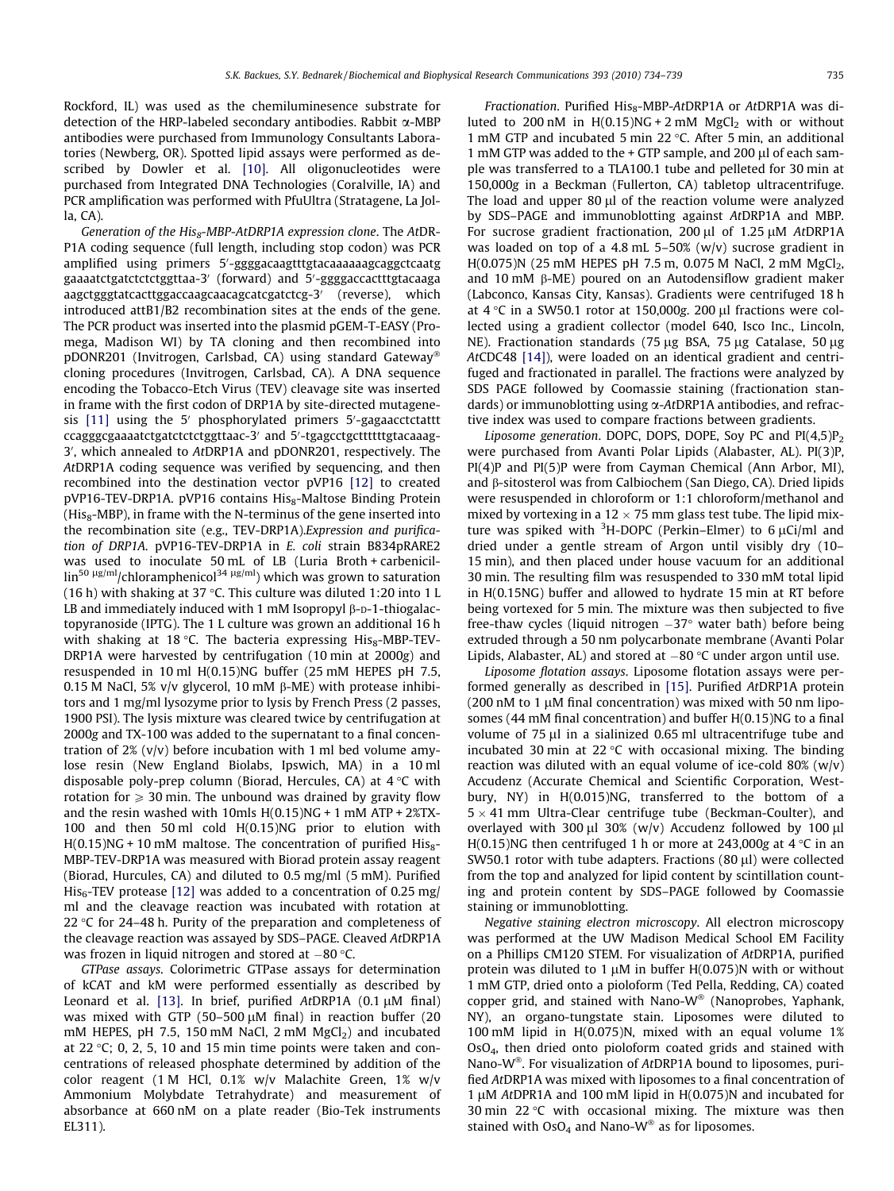Rockford, IL) was used as the chemiluminesence substrate for detection of the HRP-labeled secondary antibodies. Rabbit  $\alpha$ -MBP antibodies were purchased from Immunology Consultants Laboratories (Newberg, OR). Spotted lipid assays were performed as described by Dowler et al. [\[10\]](#page-5-0). All oligonucleotides were purchased from Integrated DNA Technologies (Coralville, IA) and PCR amplification was performed with PfuUltra (Stratagene, La Jolla, CA).

Generation of the His<sub>8</sub>-MBP-AtDRP1A expression clone. The AtDR-P1A coding sequence (full length, including stop codon) was PCR amplified using primers 5'-ggggacaagtttgtacaaaaaagcaggctcaatg gaaaatctgatctctctggttaa-3' (forward) and 5'-ggggaccactttgtacaaga aagctgggtatcacttggaccaagcaacagcatcgatctcg-3' (reverse), which introduced attB1/B2 recombination sites at the ends of the gene. The PCR product was inserted into the plasmid pGEM-T-EASY (Promega, Madison WI) by TA cloning and then recombined into pDONR201 (Invitrogen, Carlsbad, CA) using standard Gateway cloning procedures (Invitrogen, Carlsbad, CA). A DNA sequence encoding the Tobacco-Etch Virus (TEV) cleavage site was inserted in frame with the first codon of DRP1A by site-directed mutagene-sis [\[11\]](#page-5-0) using the 5' phosphorylated primers 5'-gagaacctctattt ccagggcgaaaatctgatctctctggttaac-3' and 5'-tgagcctgcttttttgtacaaag-3', which annealed to AtDRP1A and pDONR201, respectively. The AtDRP1A coding sequence was verified by sequencing, and then recombined into the destination vector pVP16 [\[12\]](#page-5-0) to created pVP16-TEV-DRP1A. pVP16 contains His<sub>8</sub>-Maltose Binding Protein ( $His<sub>8</sub>$ -MBP), in frame with the N-terminus of the gene inserted into the recombination site (e.g., TEV-DRP1A).Expression and purification of DRP1A. pVP16-TEV-DRP1A in E. coli strain B834pRARE2 was used to inoculate 50 mL of LB (Luria Broth + carbenicil- $\lim^{50 \text{ }\mu\text{g/ml}}$ /chloramphenicol<sup>34  $\mu$ g/ml</sup>) which was grown to saturation (16 h) with shaking at 37 °C. This culture was diluted 1:20 into 1 L LB and immediately induced with 1 mM Isopropyl  $\beta$ -D-1-thiogalactopyranoside (IPTG). The 1 L culture was grown an additional 16 h with shaking at 18 °C. The bacteria expressing  $His_8$ -MBP-TEV-DRP1A were harvested by centrifugation (10 min at 2000g) and resuspended in 10 ml H(0.15)NG buffer (25 mM HEPES pH 7.5, 0.15 M NaCl, 5% v/v glycerol, 10 mM  $\beta$ -ME) with protease inhibitors and 1 mg/ml lysozyme prior to lysis by French Press (2 passes, 1900 PSI). The lysis mixture was cleared twice by centrifugation at 2000g and TX-100 was added to the supernatant to a final concentration of  $2\%$  (v/v) before incubation with 1 ml bed volume amylose resin (New England Biolabs, Ipswich, MA) in a 10 ml disposable poly-prep column (Biorad, Hercules, CA) at  $4^{\circ}$ C with rotation for  $\geqslant$  30 min. The unbound was drained by gravity flow and the resin washed with 10mls  $H(0.15)NG + 1 mM ATP + 2%TX -$ 100 and then 50 ml cold H(0.15)NG prior to elution with  $H(0.15)$ NG + 10 mM maltose. The concentration of purified His<sub>8</sub>-MBP-TEV-DRP1A was measured with Biorad protein assay reagent (Biorad, Hurcules, CA) and diluted to 0.5 mg/ml (5 mM). Purified  $His<sub>6</sub>-TEV$  protease [\[12\]](#page-5-0) was added to a concentration of 0.25 mg/ ml and the cleavage reaction was incubated with rotation at 22  $\degree$ C for 24-48 h. Purity of the preparation and completeness of the cleavage reaction was assayed by SDS–PAGE. Cleaved AtDRP1A was frozen in liquid nitrogen and stored at  $-80$  °C.

GTPase assays. Colorimetric GTPase assays for determination of kCAT and kM were performed essentially as described by Leonard et al. [\[13\]](#page-5-0). In brief, purified  $AtDRP1A$  (0.1  $\mu$ M final) was mixed with GTP (50-500  $\mu$ M final) in reaction buffer (20 mM HEPES, pH 7.5, 150 mM NaCl, 2 mM  $MgCl<sub>2</sub>$ ) and incubated at 22  $\degree$ C; 0, 2, 5, 10 and 15 min time points were taken and concentrations of released phosphate determined by addition of the color reagent (1 M HCl, 0.1% w/v Malachite Green, 1% w/v Ammonium Molybdate Tetrahydrate) and measurement of absorbance at 660 nM on a plate reader (Bio-Tek instruments EL311).

Fractionation. Purified His<sub>8</sub>-MBP-AtDRP1A or AtDRP1A was diluted to 200 nM in  $H(0.15)NG + 2 mM$  MgCl<sub>2</sub> with or without 1 mM GTP and incubated 5 min 22  $\degree$ C. After 5 min, an additional 1 mM GTP was added to the  $+$  GTP sample, and 200  $\mu$ l of each sample was transferred to a TLA100.1 tube and pelleted for 30 min at 150,000g in a Beckman (Fullerton, CA) tabletop ultracentrifuge. The load and upper  $80 \mu l$  of the reaction volume were analyzed by SDS–PAGE and immunoblotting against AtDRP1A and MBP. For sucrose gradient fractionation,  $200 \mu l$  of  $1.25 \mu M$  AtDRP1A was loaded on top of a 4.8 mL 5–50% (w/v) sucrose gradient in  $H(0.075)N$  (25 mM HEPES pH 7.5 m, 0.075 M NaCl, 2 mM MgCl<sub>2</sub>, and 10 mM  $\beta$ -ME) poured on an Autodensiflow gradient maker (Labconco, Kansas City, Kansas). Gradients were centrifuged 18 h at  $4^{\circ}$ C in a SW50.1 rotor at 150,000g. 200 µl fractions were collected using a gradient collector (model 640, Isco Inc., Lincoln, NE). Fractionation standards (75  $\mu$ g BSA, 75  $\mu$ g Catalase, 50  $\mu$ g AtCDC48 [\[14\]\)](#page-5-0), were loaded on an identical gradient and centrifuged and fractionated in parallel. The fractions were analyzed by SDS PAGE followed by Coomassie staining (fractionation standards) or immunoblotting using  $\alpha$ -AtDRP1A antibodies, and refractive index was used to compare fractions between gradients.

Liposome generation. DOPC, DOPS, DOPE, Soy PC and  $PI(4,5)P_2$ were purchased from Avanti Polar Lipids (Alabaster, AL). PI(3)P, PI(4)P and PI(5)P were from Cayman Chemical (Ann Arbor, MI), and  $\beta$ -sitosterol was from Calbiochem (San Diego, CA). Dried lipids were resuspended in chloroform or 1:1 chloroform/methanol and mixed by vortexing in a  $12 \times 75$  mm glass test tube. The lipid mixture was spiked with  $3H$ -DOPC (Perkin–Elmer) to 6  $\mu$ Ci/ml and dried under a gentle stream of Argon until visibly dry (10– 15 min), and then placed under house vacuum for an additional 30 min. The resulting film was resuspended to 330 mM total lipid in H(0.15NG) buffer and allowed to hydrate 15 min at RT before being vortexed for 5 min. The mixture was then subjected to five free-thaw cycles (liquid nitrogen -37° water bath) before being extruded through a 50 nm polycarbonate membrane (Avanti Polar Lipids, Alabaster, AL) and stored at  $-80\,^{\circ}\textrm{C}$  under argon until use.

Liposome flotation assays. Liposome flotation assays were performed generally as described in [\[15\]](#page-5-0). Purified AtDRP1A protein (200 nM to 1  $\mu$ M final concentration) was mixed with 50 nm liposomes (44 mM final concentration) and buffer H(0.15)NG to a final volume of  $75 \mu l$  in a sialinized 0.65 ml ultracentrifuge tube and incubated 30 min at 22  $\degree$ C with occasional mixing. The binding reaction was diluted with an equal volume of ice-cold 80% (w/v) Accudenz (Accurate Chemical and Scientific Corporation, Westbury, NY) in H(0.015)NG, transferred to the bottom of a  $5 \times 41$  mm Ultra-Clear centrifuge tube (Beckman-Coulter), and overlayed with 300  $\mu$ l 30% (w/v) Accudenz followed by 100  $\mu$ l H(0.15)NG then centrifuged 1 h or more at 243,000g at 4  $\degree$ C in an SW50.1 rotor with tube adapters. Fractions  $(80 \mu l)$  were collected from the top and analyzed for lipid content by scintillation counting and protein content by SDS–PAGE followed by Coomassie staining or immunoblotting.

Negative staining electron microscopy. All electron microscopy was performed at the UW Madison Medical School EM Facility on a Phillips CM120 STEM. For visualization of AtDRP1A, purified protein was diluted to 1  $\mu$ M in buffer H(0.075)N with or without 1 mM GTP, dried onto a pioloform (Ted Pella, Redding, CA) coated copper grid, and stained with Nano- $W^{\otimes}$  (Nanoprobes, Yaphank, NY), an organo-tungstate stain. Liposomes were diluted to 100 mM lipid in H(0.075)N, mixed with an equal volume 1% OsO4, then dried onto pioloform coated grids and stained with Nano-W<sup>®</sup>. For visualization of AtDRP1A bound to liposomes, purified AtDRP1A was mixed with liposomes to a final concentration of 1  $\mu$ M AtDPR1A and 100 mM lipid in H(0.075)N and incubated for 30 min 22 $\degree$ C with occasional mixing. The mixture was then stained with  $OsO<sub>4</sub>$  and Nano-W<sup>®</sup> as for liposomes.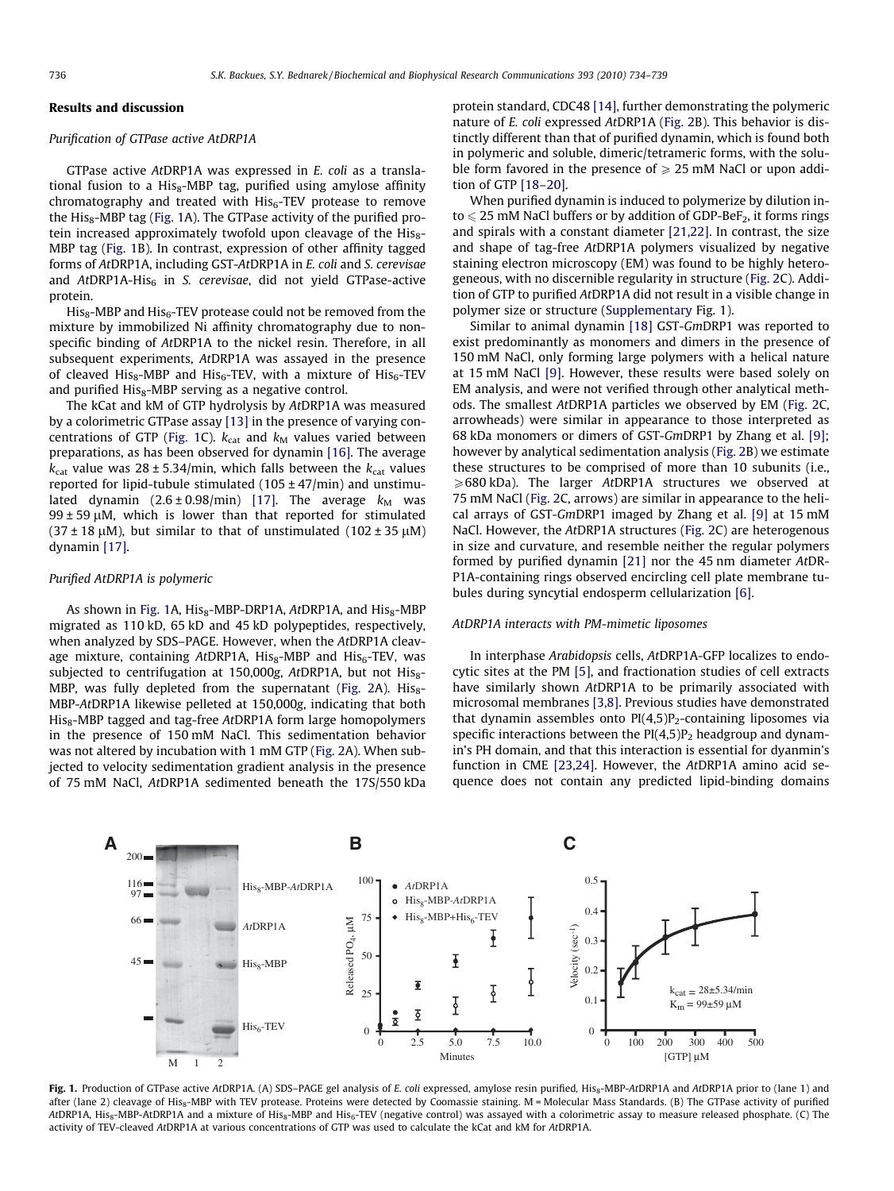# Results and discussion

#### Purification of GTPase active AtDRP1A

GTPase active AtDRP1A was expressed in E. coli as a translational fusion to a His $_8$ -MBP tag, purified using amylose affinity chromatography and treated with  $His<sub>6</sub>-TEV$  protease to remove the  $His<sub>8</sub>$ -MBP tag (Fig. 1A). The GTPase activity of the purified protein increased approximately twofold upon cleavage of the  $His<sub>8</sub>$ -MBP tag (Fig. 1B). In contrast, expression of other affinity tagged forms of AtDRP1A, including GST-AtDRP1A in E. coli and S. cerevisae and  $AtDRP1A-His<sub>6</sub>$  in S. cerevisae, did not yield GTPase-active protein.

 $His_8$ -MBP and  $His_6$ -TEV protease could not be removed from the mixture by immobilized Ni affinity chromatography due to nonspecific binding of AtDRP1A to the nickel resin. Therefore, in all subsequent experiments, AtDRP1A was assayed in the presence of cleaved His<sub>8</sub>-MBP and His<sub>6</sub>-TEV, with a mixture of His<sub>6</sub>-TEV and purified  $His_8$ -MBP serving as a negative control.

The kCat and kM of GTP hydrolysis by AtDRP1A was measured by a colorimetric GTPase assay [\[13\]](#page-5-0) in the presence of varying concentrations of GTP (Fig. 1C).  $k_{cat}$  and  $k_M$  values varied between preparations, as has been observed for dynamin [\[16\].](#page-5-0) The average  $k_{\text{cat}}$  value was 28 ± 5.34/min, which falls between the  $k_{\text{cat}}$  values reported for lipid-tubule stimulated (105 ± 47/min) and unstimulated dynamin  $(2.6 \pm 0.98/\text{min})$  [\[17\].](#page-5-0) The average  $k_M$  was  $99 \pm 59 \mu$ M, which is lower than that reported for stimulated (37 ± 18  $\mu$ M), but similar to that of unstimulated (102 ± 35  $\mu$ M) dynamin [\[17\]](#page-5-0).

#### Purified AtDRP1A is polymeric

As shown in Fig. 1A, His<sub>8</sub>-MBP-DRP1A, AtDRP1A, and His<sub>8</sub>-MBP migrated as 110 kD, 65 kD and 45 kD polypeptides, respectively, when analyzed by SDS–PAGE. However, when the AtDRP1A cleavage mixture, containing AtDRP1A,  $His<sub>8</sub>-MBP$  and  $His<sub>6</sub>-TEV$ , was subjected to centrifugation at 150,000g,  $AtDRP1A$ , but not  $His<sub>8</sub>$ -MBP, was fully depleted from the supernatant ([Fig. 2A](#page-3-0)).  $His<sub>8</sub>$ -MBP-AtDRP1A likewise pelleted at 150,000g, indicating that both  $His_8$ -MBP tagged and tag-free AtDRP1A form large homopolymers in the presence of 150 mM NaCl. This sedimentation behavior was not altered by incubation with 1 mM GTP [\(Fig. 2](#page-3-0)A). When subjected to velocity sedimentation gradient analysis in the presence of 75 mM NaCl, AtDRP1A sedimented beneath the 17S/550 kDa protein standard, CDC48 [\[14\],](#page-5-0) further demonstrating the polymeric nature of E. coli expressed AtDRP1A ([Fig. 2](#page-3-0)B). This behavior is distinctly different than that of purified dynamin, which is found both in polymeric and soluble, dimeric/tetrameric forms, with the soluble form favored in the presence of  $\geq 25$  mM NaCl or upon addition of GTP [\[18–20\].](#page-5-0)

When purified dynamin is induced to polymerize by dilution into  $\leq$  25 mM NaCl buffers or by addition of GDP-BeF<sub>2</sub>, it forms rings and spirals with a constant diameter [\[21,22\].](#page-5-0) In contrast, the size and shape of tag-free AtDRP1A polymers visualized by negative staining electron microscopy (EM) was found to be highly heterogeneous, with no discernible regularity in structure ([Fig. 2C](#page-3-0)). Addition of GTP to purified AtDRP1A did not result in a visible change in polymer size or structure (Supplementary Fig. 1).

Similar to animal dynamin [\[18\]](#page-5-0) GST-GmDRP1 was reported to exist predominantly as monomers and dimers in the presence of 150 mM NaCl, only forming large polymers with a helical nature at 15 mM NaCl [\[9\]](#page-5-0). However, these results were based solely on EM analysis, and were not verified through other analytical methods. The smallest AtDRP1A particles we observed by EM [\(Fig. 2C](#page-3-0), arrowheads) were similar in appearance to those interpreted as 68 kDa monomers or dimers of GST-GmDRP1 by Zhang et al. [\[9\];](#page-5-0) however by analytical sedimentation analysis ([Fig. 2](#page-3-0)B) we estimate these structures to be comprised of more than 10 subunits (i.e.,  $\geq 680$  kDa). The larger AtDRP1A structures we observed at 75 mM NaCl ([Fig. 2](#page-3-0)C, arrows) are similar in appearance to the helical arrays of GST-GmDRP1 imaged by Zhang et al. [\[9\]](#page-5-0) at 15 mM NaCl. However, the AtDRP1A structures ([Fig. 2C](#page-3-0)) are heterogenous in size and curvature, and resemble neither the regular polymers formed by purified dynamin [\[21\]](#page-5-0) nor the 45 nm diameter AtDR-P1A-containing rings observed encircling cell plate membrane tubules during syncytial endosperm cellularization [\[6\].](#page-5-0)

## AtDRP1A interacts with PM-mimetic liposomes

In interphase Arabidopsis cells, AtDRP1A-GFP localizes to endocytic sites at the PM [\[5\],](#page-5-0) and fractionation studies of cell extracts have similarly shown AtDRP1A to be primarily associated with microsomal membranes [\[3,8\]](#page-5-0). Previous studies have demonstrated that dynamin assembles onto  $PI(4,5)P_2$ -containing liposomes via specific interactions between the  $PI(4,5)P_2$  headgroup and dynamin's PH domain, and that this interaction is essential for dyanmin's function in CME [\[23,24\]](#page-5-0). However, the AtDRP1A amino acid sequence does not contain any predicted lipid-binding domains



Fig. 1. Production of GTPase active AtDRP1A. (A) SDS-PAGE gel analysis of E. coli expressed, amylose resin purified, His<sub>8</sub>-MBP-AtDRP1A and AtDRP1A prior to (lane 1) and after (lane 2) cleavage of His<sub>8</sub>-MBP with TEV protease. Proteins were detected by Coomassie staining. M = Molecular Mass Standards. (B) The GTPase activity of purified AtDRP1A, His<sub>8</sub>-MBP-AtDRP1A and a mixture of His<sub>8</sub>-MBP and His<sub>6</sub>-TEV (negative control) was assayed with a colorimetric assay to measure released phosphate. (C) The activity of TEV-cleaved AtDRP1A at various concentrations of GTP was used to calculate the kCat and kM for AtDRP1A.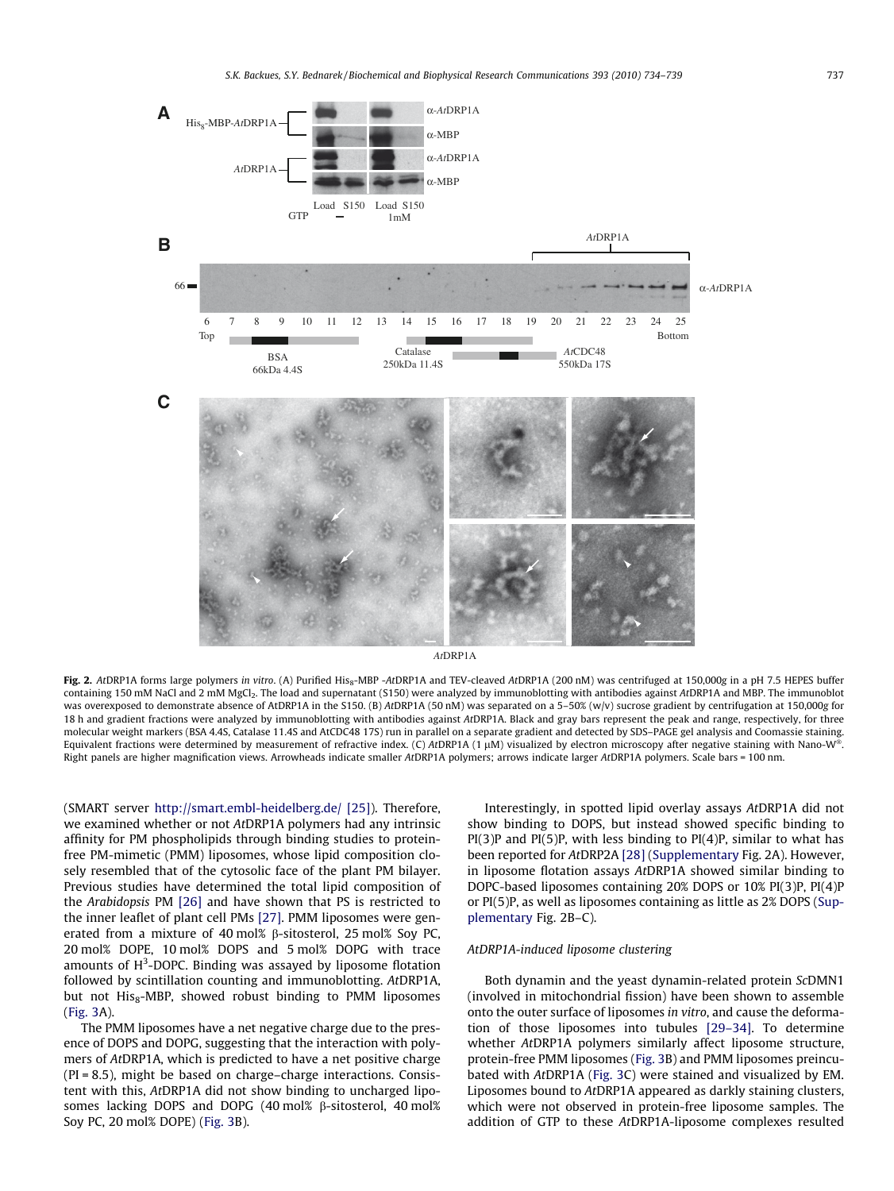<span id="page-3-0"></span>

Fig. 2. AtDRP1A forms large polymers in vitro. (A) Purified His<sub>8</sub>-MBP -AtDRP1A and TEV-cleaved AtDRP1A (200 nM) was centrifuged at 150,000g in a pH 7.5 HEPES buffer containing 150 mM NaCl and 2 mM MgCl<sub>2</sub>. The load and supernatant (S150) were analyzed by immunoblotting with antibodies against AtDRP1A and MBP. The immunoblot was overexposed to demonstrate absence of AtDRP1A in the S150. (B) AtDRP1A (50 nM) was separated on a 5-50% (w/v) sucrose gradient by centrifugation at 150,000g for 18 h and gradient fractions were analyzed by immunoblotting with antibodies against AtDRP1A. Black and gray bars represent the peak and range, respectively, for three molecular weight markers (BSA 4.4S, Catalase 11.4S and AtCDC48 17S) run in parallel on a separate gradient and detected by SDS–PAGE gel analysis and Coomassie staining. Equivalent fractions were determined by measurement of refractive index. (C) AtDRP1A (1  $\mu$ M) visualized by electron microscopy after negative staining with Nano-W®. Right panels are higher magnification views. Arrowheads indicate smaller AtDRP1A polymers; arrows indicate larger AtDRP1A polymers. Scale bars = 100 nm.

(SMART server <http://smart.embl-heidelberg.de/> [\[25\]\)](#page-5-0). Therefore, we examined whether or not AtDRP1A polymers had any intrinsic affinity for PM phospholipids through binding studies to proteinfree PM-mimetic (PMM) liposomes, whose lipid composition closely resembled that of the cytosolic face of the plant PM bilayer. Previous studies have determined the total lipid composition of the Arabidopsis PM [\[26\]](#page-5-0) and have shown that PS is restricted to the inner leaflet of plant cell PMs [\[27\]](#page-5-0). PMM liposomes were generated from a mixture of 40 mol%  $\beta$ -sitosterol, 25 mol% Soy PC, 20 mol% DOPE, 10 mol% DOPS and 5 mol% DOPG with trace amounts of H<sup>3</sup>-DOPC. Binding was assayed by liposome flotation followed by scintillation counting and immunoblotting. AtDRP1A, but not  $His<sub>8</sub>-MBP$ , showed robust binding to PMM liposomes ([Fig. 3](#page-4-0)A).

The PMM liposomes have a net negative charge due to the presence of DOPS and DOPG, suggesting that the interaction with polymers of AtDRP1A, which is predicted to have a net positive charge (PI = 8.5), might be based on charge–charge interactions. Consistent with this, AtDRP1A did not show binding to uncharged liposomes lacking DOPS and DOPG (40 mol%  $\beta$ -sitosterol, 40 mol% Soy PC, 20 mol% DOPE) [\(Fig. 3](#page-4-0)B).

Interestingly, in spotted lipid overlay assays AtDRP1A did not show binding to DOPS, but instead showed specific binding to  $PI(3)P$  and  $PI(5)P$ , with less binding to  $PI(4)P$ , similar to what has been reported for AtDRP2A [\[28\]](#page-5-0) (Supplementary Fig. 2A). However, in liposome flotation assays AtDRP1A showed similar binding to DOPC-based liposomes containing 20% DOPS or 10% PI(3)P, PI(4)P or PI(5)P, as well as liposomes containing as little as 2% DOPS (Supplementary Fig. 2B–C).

## AtDRP1A-induced liposome clustering

Both dynamin and the yeast dynamin-related protein ScDMN1 (involved in mitochondrial fission) have been shown to assemble onto the outer surface of liposomes in vitro, and cause the deformation of those liposomes into tubules [\[29–34\].](#page-5-0) To determine whether AtDRP1A polymers similarly affect liposome structure, protein-free PMM liposomes [\(Fig. 3](#page-4-0)B) and PMM liposomes preincubated with AtDRP1A [\(Fig. 3C](#page-4-0)) were stained and visualized by EM. Liposomes bound to AtDRP1A appeared as darkly staining clusters, which were not observed in protein-free liposome samples. The addition of GTP to these AtDRP1A-liposome complexes resulted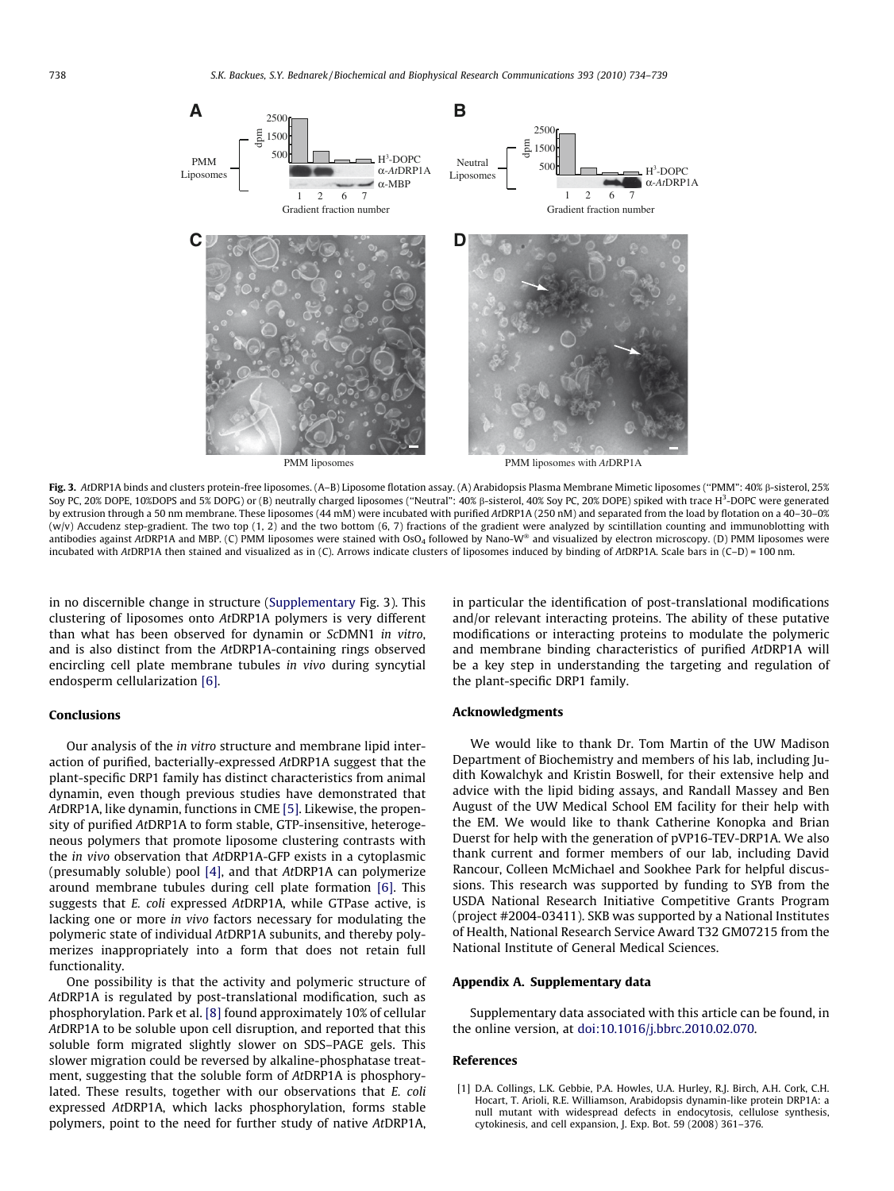<span id="page-4-0"></span>

Fig. 3. AtDRP1A binds and clusters protein-free liposomes. (A-B) Liposome flotation assay. (A) Arabidopsis Plasma Membrane Mimetic liposomes ("PMM": 40% ß-sisterol, 25% Soy PC, 20% DOPE, 10%DOPS and 5% DOPG) or (B) neutrally charged liposomes ("Neutral": 40% ß-sisterol, 40% Soy PC, 20% DOPE) spiked with trace H<sup>3</sup>-DOPC were generated by extrusion through a 50 nm membrane. These liposomes (44 mM) were incubated with purified AtDRP1A (250 nM) and separated from the load by flotation on a 40–30–0%  $(w/v)$  Accudenz step-gradient. The two top  $(1, 2)$  and the two bottom  $(6, 7)$  fractions of the gradient were analyzed by scintillation counting and immunoblotting with antibodies against AtDRP1A and MBP. (C) PMM liposomes were stained with OsO<sub>4</sub> followed by Nano-W® and visualized by electron microscopy. (D) PMM liposomes were incubated with AtDRP1A then stained and visualized as in (C). Arrows indicate clusters of liposomes induced by binding of AtDRP1A. Scale bars in (C–D) = 100 nm.

in no discernible change in structure (Supplementary Fig. 3). This clustering of liposomes onto AtDRP1A polymers is very different than what has been observed for dynamin or ScDMN1 in vitro, and is also distinct from the AtDRP1A-containing rings observed encircling cell plate membrane tubules in vivo during syncytial endosperm cellularization [\[6\].](#page-5-0)

# Conclusions

Our analysis of the in vitro structure and membrane lipid interaction of purified, bacterially-expressed AtDRP1A suggest that the plant-specific DRP1 family has distinct characteristics from animal dynamin, even though previous studies have demonstrated that AtDRP1A, like dynamin, functions in CME [\[5\]](#page-5-0). Likewise, the propensity of purified AtDRP1A to form stable, GTP-insensitive, heterogeneous polymers that promote liposome clustering contrasts with the in vivo observation that AtDRP1A-GFP exists in a cytoplasmic (presumably soluble) pool [\[4\]](#page-5-0), and that AtDRP1A can polymerize around membrane tubules during cell plate formation [\[6\]](#page-5-0). This suggests that E. coli expressed AtDRP1A, while GTPase active, is lacking one or more in vivo factors necessary for modulating the polymeric state of individual AtDRP1A subunits, and thereby polymerizes inappropriately into a form that does not retain full functionality.

One possibility is that the activity and polymeric structure of AtDRP1A is regulated by post-translational modification, such as phosphorylation. Park et al. [\[8\]](#page-5-0) found approximately 10% of cellular AtDRP1A to be soluble upon cell disruption, and reported that this soluble form migrated slightly slower on SDS–PAGE gels. This slower migration could be reversed by alkaline-phosphatase treatment, suggesting that the soluble form of AtDRP1A is phosphorylated. These results, together with our observations that E. coli expressed AtDRP1A, which lacks phosphorylation, forms stable polymers, point to the need for further study of native AtDRP1A, in particular the identification of post-translational modifications and/or relevant interacting proteins. The ability of these putative modifications or interacting proteins to modulate the polymeric and membrane binding characteristics of purified AtDRP1A will be a key step in understanding the targeting and regulation of the plant-specific DRP1 family.

## Acknowledgments

We would like to thank Dr. Tom Martin of the UW Madison Department of Biochemistry and members of his lab, including Judith Kowalchyk and Kristin Boswell, for their extensive help and advice with the lipid biding assays, and Randall Massey and Ben August of the UW Medical School EM facility for their help with the EM. We would like to thank Catherine Konopka and Brian Duerst for help with the generation of pVP16-TEV-DRP1A. We also thank current and former members of our lab, including David Rancour, Colleen McMichael and Sookhee Park for helpful discussions. This research was supported by funding to SYB from the USDA National Research Initiative Competitive Grants Program (project #2004-03411). SKB was supported by a National Institutes of Health, National Research Service Award T32 GM07215 from the National Institute of General Medical Sciences.

## Appendix A. Supplementary data

Supplementary data associated with this article can be found, in the online version, at [doi:10.1016/j.bbrc.2010.02.070.](http://dx.doi.org/10.1016/j.bbrc.2010.02.070)

# References

[1] D.A. Collings, L.K. Gebbie, P.A. Howles, U.A. Hurley, R.J. Birch, A.H. Cork, C.H. Hocart, T. Arioli, R.E. Williamson, Arabidopsis dynamin-like protein DRP1A: a null mutant with widespread defects in endocytosis, cellulose synthesis, cytokinesis, and cell expansion, J. Exp. Bot. 59 (2008) 361–376.